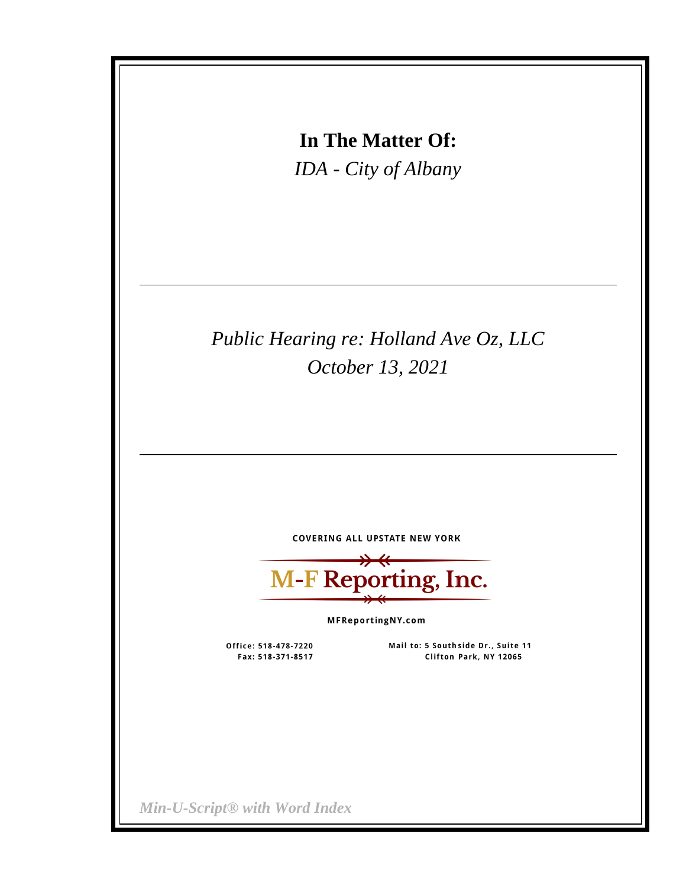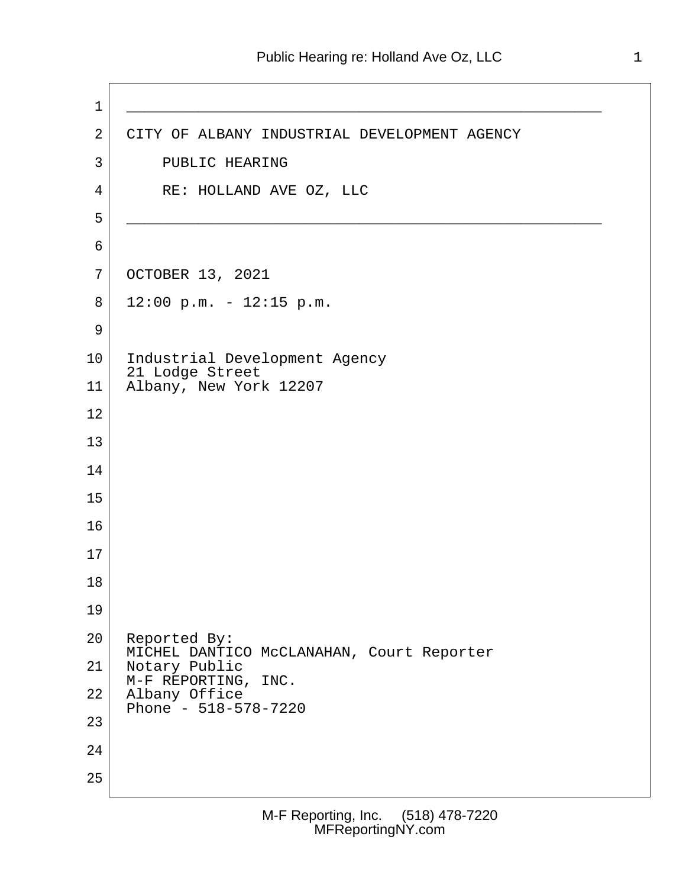1 \_\_\_\_\_\_\_\_\_\_\_\_\_\_\_\_\_\_\_\_\_\_\_\_\_\_\_\_\_\_\_\_\_\_\_\_\_\_\_\_\_\_\_\_\_\_\_\_\_\_\_\_\_ 2 CITY OF ALBANY INDUSTRIAL DEVELOPMENT AGENCY 3 PUBLIC HEARING 4 RE: HOLLAND AVE OZ, LLC 5 \_\_\_\_\_\_\_\_\_\_\_\_\_\_\_\_\_\_\_\_\_\_\_\_\_\_\_\_\_\_\_\_\_\_\_\_\_\_\_\_\_\_\_\_\_\_\_\_\_\_\_\_\_  $6 \mid$  7 OCTOBER 13, 2021  $8$  12:00 p.m. - 12:15 p.m. 9 10 | Industrial Development Agency 21 Lodge Street 11 Albany, New York 12207 12 13 14 15 16 17 18 19 20 Reported By: MICHEL DANTICO McCLANAHAN, Court Reporter 21 Notary Public M-F REPORTING, INC. 22 Albany Office Phone - 518-578-7220 23 24 25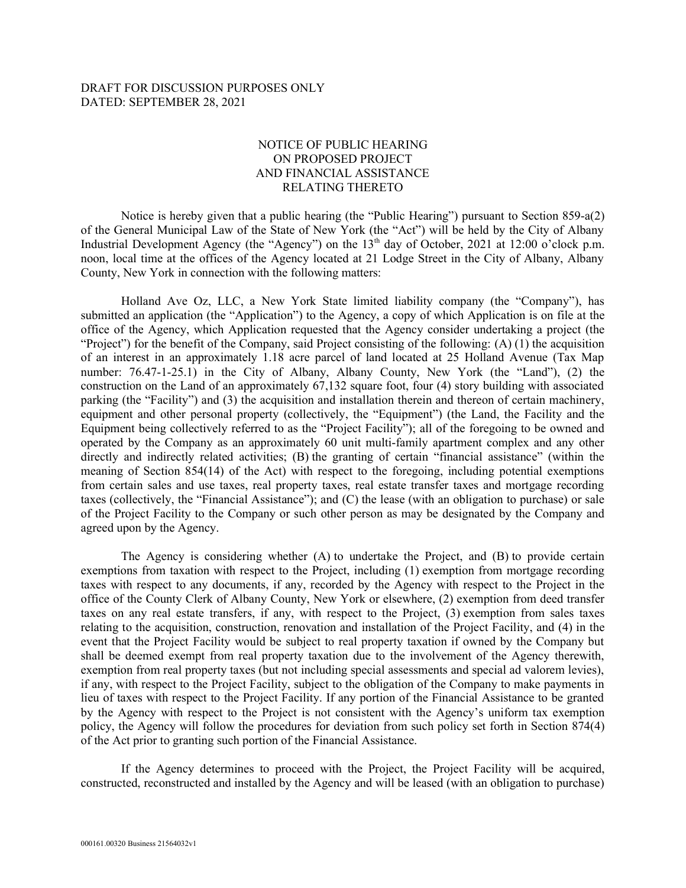DRAFT FOR DISCUSSION PURPOSES ONLY DATED: SEPTEMBER 28, 2021

## NOTICE OF PUBLIC HEARING ON PROPOSED PROJECT AND FINANCIAL ASSISTANCE RELATING THERETO

Notice is hereby given that a public hearing (the "Public Hearing") pursuant to Section 859-a(2) of the General Municipal Law of the State of New York (the "Act") will be held by the City of Albany Industrial Development Agency (the "Agency") on the  $13<sup>th</sup>$  day of October, 2021 at 12:00 o'clock p.m. noon, local time at the offices of the Agency located at 21 Lodge Street in the City of Albany, Albany County, New York in connection with the following matters:

Holland Ave Oz, LLC, a New York State limited liability company (the "Company"), has submitted an application (the "Application") to the Agency, a copy of which Application is on file at the office of the Agency, which Application requested that the Agency consider undertaking a project (the "Project") for the benefit of the Company, said Project consisting of the following: (A) (1) the acquisition of an interest in an approximately 1.18 acre parcel of land located at 25 Holland Avenue (Tax Map number: 76.47-1-25.1) in the City of Albany, Albany County, New York (the "Land"), (2) the construction on the Land of an approximately 67,132 square foot, four (4) story building with associated parking (the "Facility") and (3) the acquisition and installation therein and thereon of certain machinery, equipment and other personal property (collectively, the "Equipment") (the Land, the Facility and the Equipment being collectively referred to as the "Project Facility"); all of the foregoing to be owned and operated by the Company as an approximately 60 unit multi-family apartment complex and any other directly and indirectly related activities; (B) the granting of certain "financial assistance" (within the meaning of Section 854(14) of the Act) with respect to the foregoing, including potential exemptions from certain sales and use taxes, real property taxes, real estate transfer taxes and mortgage recording taxes (collectively, the "Financial Assistance"); and (C) the lease (with an obligation to purchase) or sale of the Project Facility to the Company or such other person as may be designated by the Company and agreed upon by the Agency.

The Agency is considering whether (A) to undertake the Project, and (B) to provide certain exemptions from taxation with respect to the Project, including (1) exemption from mortgage recording taxes with respect to any documents, if any, recorded by the Agency with respect to the Project in the office of the County Clerk of Albany County, New York or elsewhere, (2) exemption from deed transfer taxes on any real estate transfers, if any, with respect to the Project, (3) exemption from sales taxes relating to the acquisition, construction, renovation and installation of the Project Facility, and (4) in the event that the Project Facility would be subject to real property taxation if owned by the Company but shall be deemed exempt from real property taxation due to the involvement of the Agency therewith, exemption from real property taxes (but not including special assessments and special ad valorem levies), if any, with respect to the Project Facility, subject to the obligation of the Company to make payments in lieu of taxes with respect to the Project Facility. If any portion of the Financial Assistance to be granted by the Agency with respect to the Project is not consistent with the Agency's uniform tax exemption policy, the Agency will follow the procedures for deviation from such policy set forth in Section 874(4) of the Act prior to granting such portion of the Financial Assistance.

If the Agency determines to proceed with the Project, the Project Facility will be acquired, constructed, reconstructed and installed by the Agency and will be leased (with an obligation to purchase)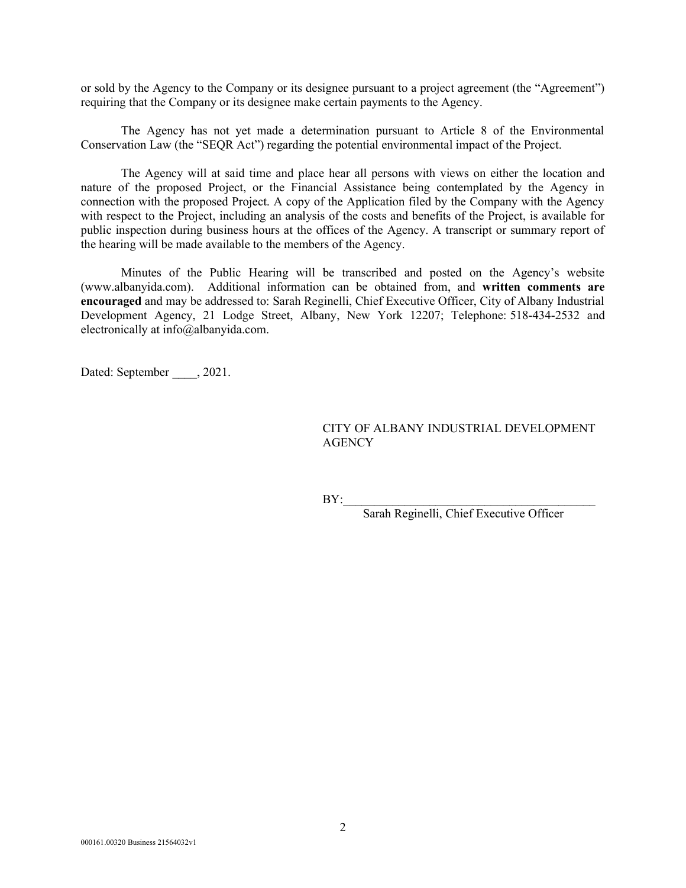or sold by the Agency to the Company or its designee pursuant to a project agreement (the "Agreement") requiring that the Company or its designee make certain payments to the Agency.

The Agency has not yet made a determination pursuant to Article 8 of the Environmental Conservation Law (the "SEQR Act") regarding the potential environmental impact of the Project.

The Agency will at said time and place hear all persons with views on either the location and nature of the proposed Project, or the Financial Assistance being contemplated by the Agency in connection with the proposed Project. A copy of the Application filed by the Company with the Agency with respect to the Project, including an analysis of the costs and benefits of the Project, is available for public inspection during business hours at the offices of the Agency. A transcript or summary report of the hearing will be made available to the members of the Agency.

Minutes of the Public Hearing will be transcribed and posted on the Agency's website (www.albanyida.com). Additional information can be obtained from, and written comments are encouraged and may be addressed to: Sarah Reginelli, Chief Executive Officer, City of Albany Industrial Development Agency, 21 Lodge Street, Albany, New York 12207; Telephone: 518-434-2532 and electronically at info@albanyida.com.

Dated: September , 2021.

## CITY OF ALBANY INDUSTRIAL DEVELOPMENT **AGENCY**

 $BY:$ 

Sarah Reginelli, Chief Executive Officer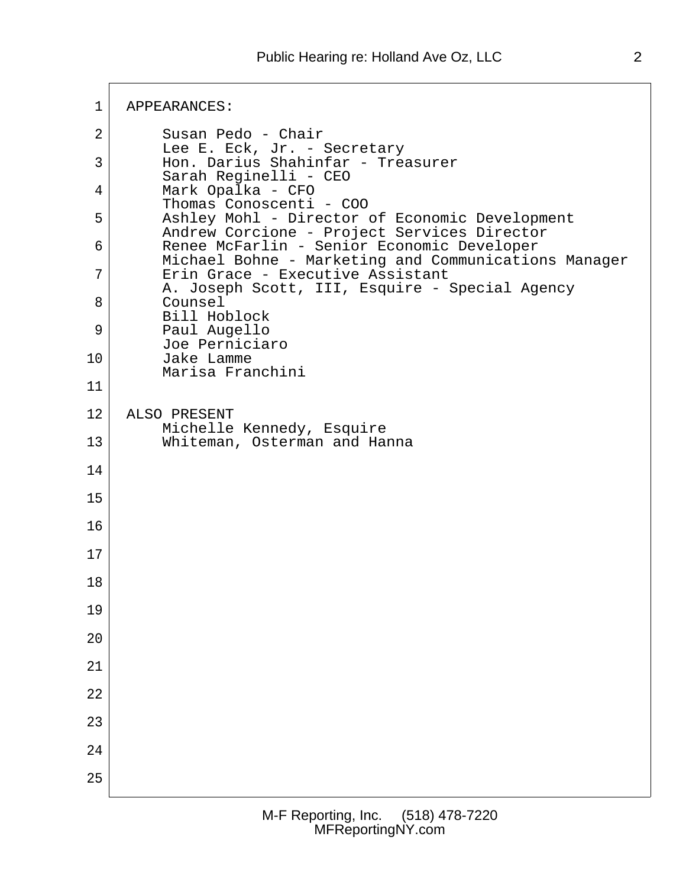1 APPEARANCES: 2 Susan Pedo - Chair Lee E. Eck, Jr. - Secretary 3 Hon. Darius Shahinfar - Treasurer Sarah Reginelli - CEO 4 Mark Opalka - CFO Thomas Conoscenti - COO 5 Ashley Mohl - Director of Economic Development Andrew Corcione - Project Services Director 6 Renee McFarlin - Senior Economic Developer Michael Bohne - Marketing and Communications Manager 7 Erin Grace - Executive Assistant A. Joseph Scott, III, Esquire - Special Agency 8 Counsel Bill Hoblock 9 Paul Augello Joe Perniciaro 10 Jake Lamme Marisa Franchini 11 12 ALSO PRESENT Michelle Kennedy, Esquire 13 Whiteman, Osterman and Hanna 14 15 16 17 18 19 20 21 22 23 24 25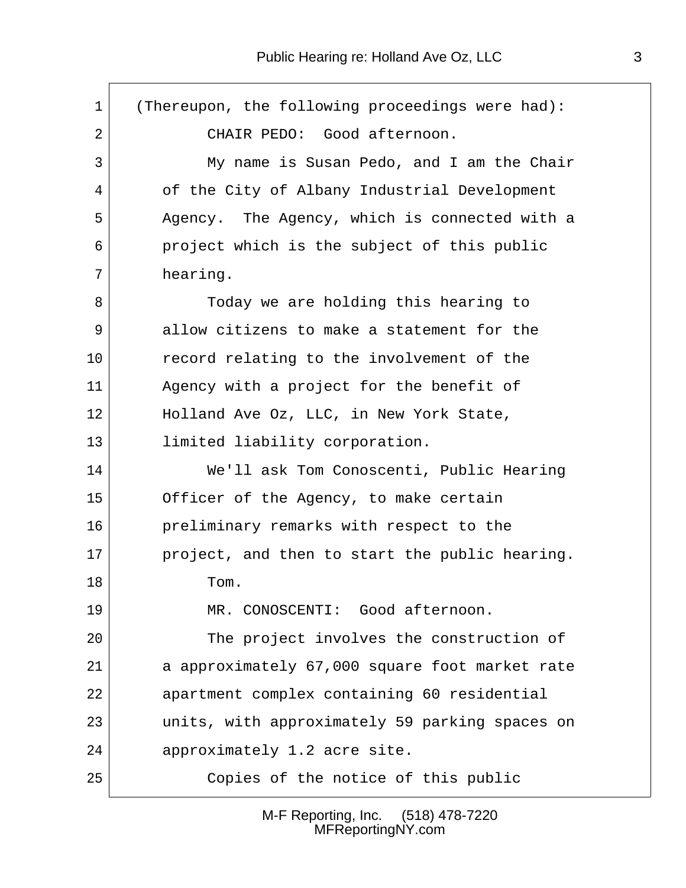$\sqrt{ }$ 

| $\mathbf{1}$ | (Thereupon, the following proceedings were had): |
|--------------|--------------------------------------------------|
| 2            | CHAIR PEDO: Good afternoon.                      |
| 3            | My name is Susan Pedo, and I am the Chair        |
| 4            | of the City of Albany Industrial Development     |
| 5            | Agency. The Agency, which is connected with a    |
| 6            | project which is the subject of this public      |
| 7            | hearing.                                         |
| 8            | Today we are holding this hearing to             |
| 9            | allow citizens to make a statement for the       |
| 10           | record relating to the involvement of the        |
| 11           | Agency with a project for the benefit of         |
| 12           | Holland Ave Oz, LLC, in New York State,          |
| 13           | limited liability corporation.                   |
| 14           | We'll ask Tom Conoscenti, Public Hearing         |
| 15           | Officer of the Agency, to make certain           |
| 16           | preliminary remarks with respect to the          |
| 17           | project, and then to start the public hearing.   |
| 18           | Tom.                                             |
| 19           | MR. CONOSCENTI: Good afternoon.                  |
| 20           | The project involves the construction of         |
| 21           | a approximately 67,000 square foot market rate   |
| 22           | apartment complex containing 60 residential      |
| 23           | units, with approximately 59 parking spaces on   |
| 24           | approximately 1.2 acre site.                     |
| 25           | Copies of the notice of this public              |

M-F Reporting, Inc. (518) 478-7220 MFReportingNY.com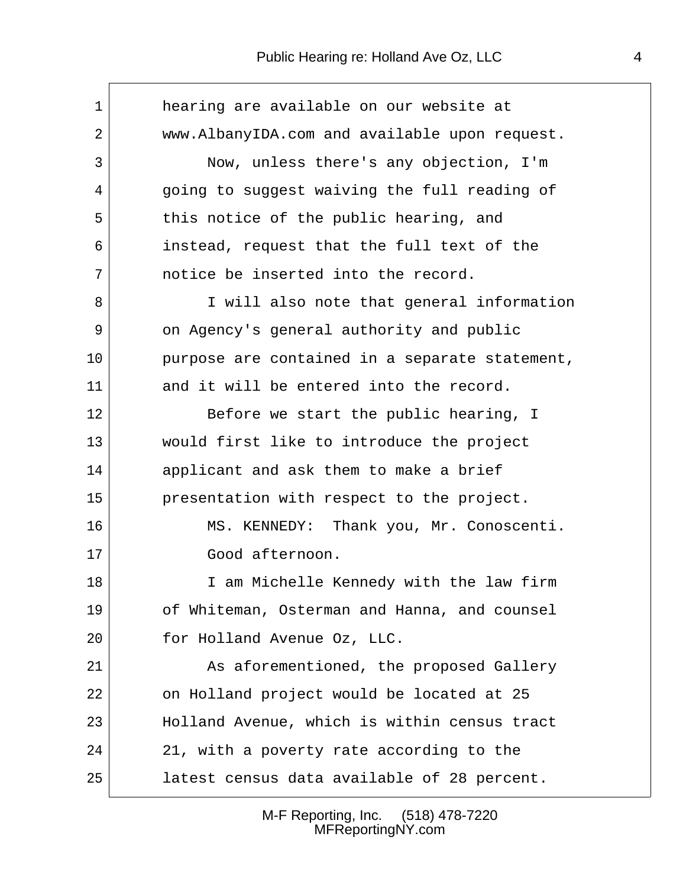$\overline{\phantom{a}}$ 

| $\mathbf{1}$ | hearing are available on our website at        |
|--------------|------------------------------------------------|
| 2            | www.AlbanyIDA.com and available upon request.  |
| 3            | Now, unless there's any objection, I'm         |
| 4            | going to suggest waiving the full reading of   |
| 5            | this notice of the public hearing, and         |
| 6            | instead, request that the full text of the     |
| 7            | notice be inserted into the record.            |
| 8            | I will also note that general information      |
| 9            | on Agency's general authority and public       |
| $10 \,$      | purpose are contained in a separate statement, |
| 11           | and it will be entered into the record.        |
| 12           | Before we start the public hearing, I          |
| 13           | would first like to introduce the project      |
| 14           | applicant and ask them to make a brief         |
| 15           | presentation with respect to the project.      |
| 16           | MS. KENNEDY: Thank you, Mr. Conoscenti.        |
| $17 \,$      | Good afternoon.                                |
| 18           | I am Michelle Kennedy with the law firm        |
| 19           | of Whiteman, Osterman and Hanna, and counsel   |
| 20           | for Holland Avenue Oz, LLC.                    |
| 21           | As aforementioned, the proposed Gallery        |
| 22           | on Holland project would be located at 25      |
| 23           | Holland Avenue, which is within census tract   |
| 24           | 21, with a poverty rate according to the       |
| 25           | latest census data available of 28 percent.    |

M-F Reporting, Inc. (518) 478-7220 MFReportingNY.com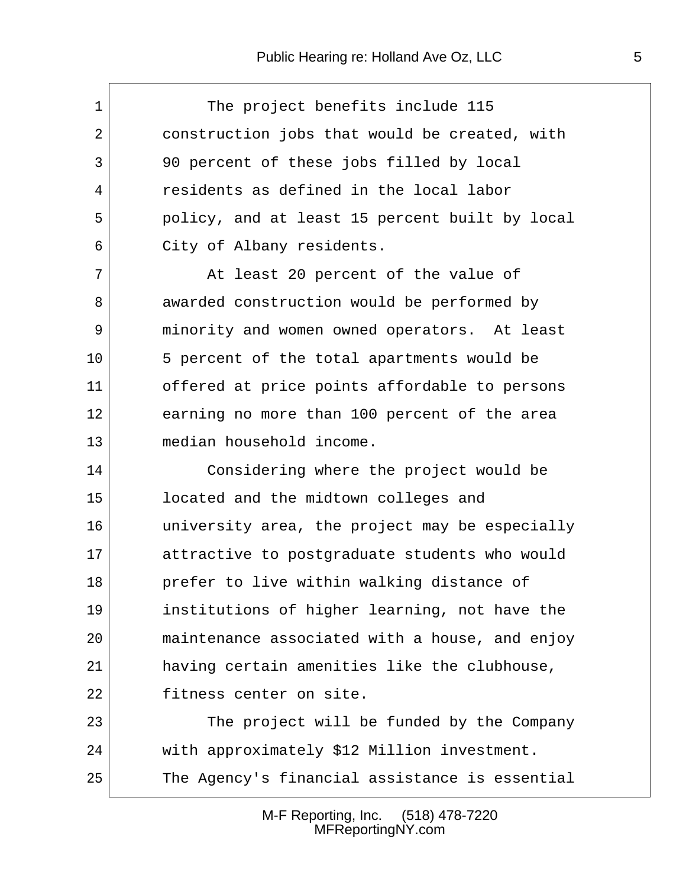$\sqrt{ }$ 

| $\mathbf{1}$ | The project benefits include 115               |
|--------------|------------------------------------------------|
| 2            | construction jobs that would be created, with  |
| 3            | 90 percent of these jobs filled by local       |
| 4            | residents as defined in the local labor        |
| 5            | policy, and at least 15 percent built by local |
| 6            | City of Albany residents.                      |
| 7            | At least 20 percent of the value of            |
| 8            | awarded construction would be performed by     |
| 9            | minority and women owned operators. At least   |
| 10           | 5 percent of the total apartments would be     |
| 11           | offered at price points affordable to persons  |
| 12           | earning no more than 100 percent of the area   |
| 13           | median household income.                       |
| 14           | Considering where the project would be         |
| 15           | located and the midtown colleges and           |
| 16           | university area, the project may be especially |
| 17           | attractive to postgraduate students who would  |
| 18           | prefer to live within walking distance of      |
| 19           | institutions of higher learning, not have the  |
| 20           | maintenance associated with a house, and enjoy |
| 21           | having certain amenities like the clubhouse,   |
| 22           | fitness center on site.                        |
| 23           | The project will be funded by the Company      |
| 24           | with approximately \$12 Million investment.    |
| 25           | The Agency's financial assistance is essential |

M-F Reporting, Inc. (518) 478-7220 MFReportingNY.com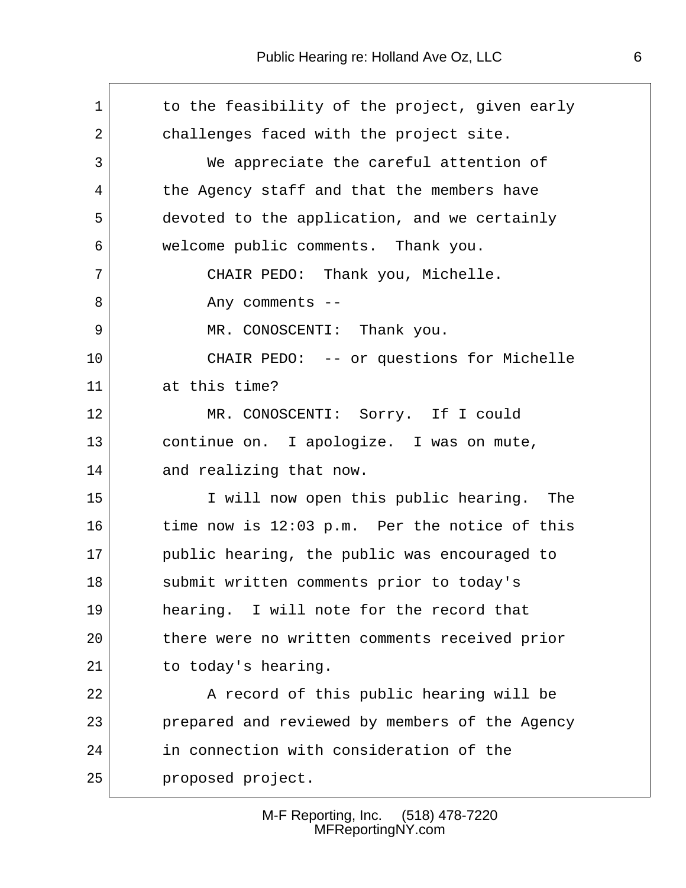$\sqrt{ }$ 

| $\mathbf{1}$ | to the feasibility of the project, given early |
|--------------|------------------------------------------------|
| 2            | challenges faced with the project site.        |
| 3            | We appreciate the careful attention of         |
| 4            | the Agency staff and that the members have     |
| 5            | devoted to the application, and we certainly   |
| 6            | welcome public comments. Thank you.            |
| 7            | CHAIR PEDO: Thank you, Michelle.               |
| 8            | Any comments --                                |
| 9            | MR. CONOSCENTI: Thank you.                     |
| 10           | CHAIR PEDO: -- or questions for Michelle       |
| 11           | at this time?                                  |
| 12           | MR. CONOSCENTI: Sorry. If I could              |
| 13           | continue on. I apologize. I was on mute,       |
| 14           | and realizing that now.                        |
| 15           | I will now open this public hearing. The       |
| 16           | time now is 12:03 p.m. Per the notice of this  |
| 17           | public hearing, the public was encouraged to   |
| 18           | submit written comments prior to today's       |
| 19           | hearing. I will note for the record that       |
| 20           | there were no written comments received prior  |
| 21           | to today's hearing.                            |
| 22           | A record of this public hearing will be        |
| 23           | prepared and reviewed by members of the Agency |
| 24           | in connection with consideration of the        |
| 25           | proposed project.                              |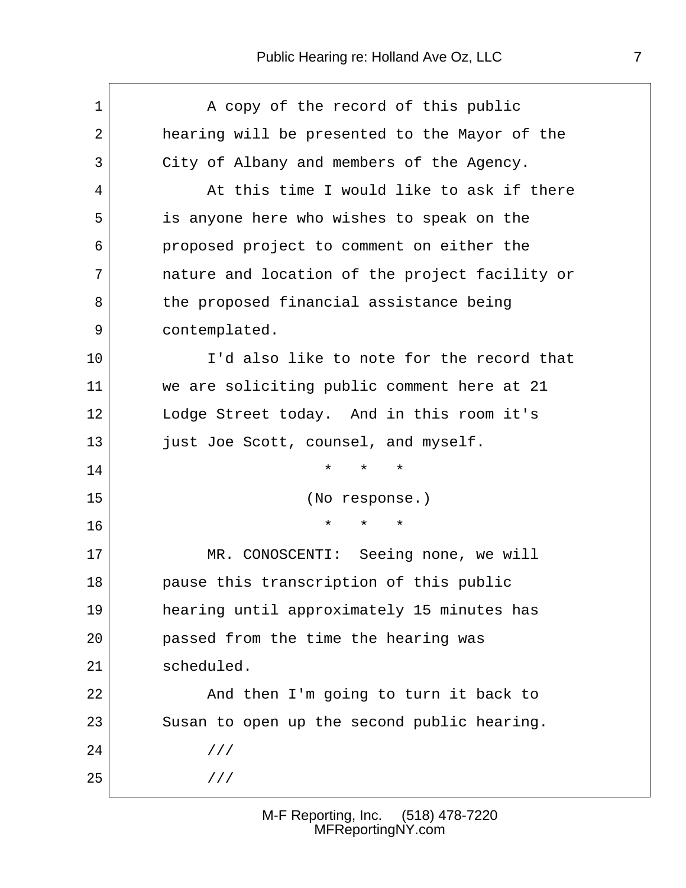| 1  | A copy of the record of this public            |
|----|------------------------------------------------|
| 2  | hearing will be presented to the Mayor of the  |
| 3  | City of Albany and members of the Agency.      |
| 4  | At this time I would like to ask if there      |
| 5  | is anyone here who wishes to speak on the      |
| 6  | proposed project to comment on either the      |
| 7  | nature and location of the project facility or |
| 8  | the proposed financial assistance being        |
| 9  | contemplated.                                  |
| 10 | I'd also like to note for the record that      |
| 11 | we are soliciting public comment here at 21    |
| 12 | Lodge Street today. And in this room it's      |
| 13 | just Joe Scott, counsel, and myself.           |
| 14 | $\star$<br>$^\star$<br>$\star$                 |
| 15 | (No response.)                                 |
| 16 | $^\star$<br>$^\star$<br>$\star$                |
| 17 | MR. CONOSCENTI: Seeing none, we will           |
| 18 | pause this transcription of this public        |
| 19 | hearing until approximately 15 minutes has     |
| 20 | passed from the time the hearing was           |
| 21 | scheduled.                                     |
| 22 | And then I'm going to turn it back to          |
| 23 | Susan to open up the second public hearing.    |
| 24 | 111                                            |
| 25 | 111                                            |
|    |                                                |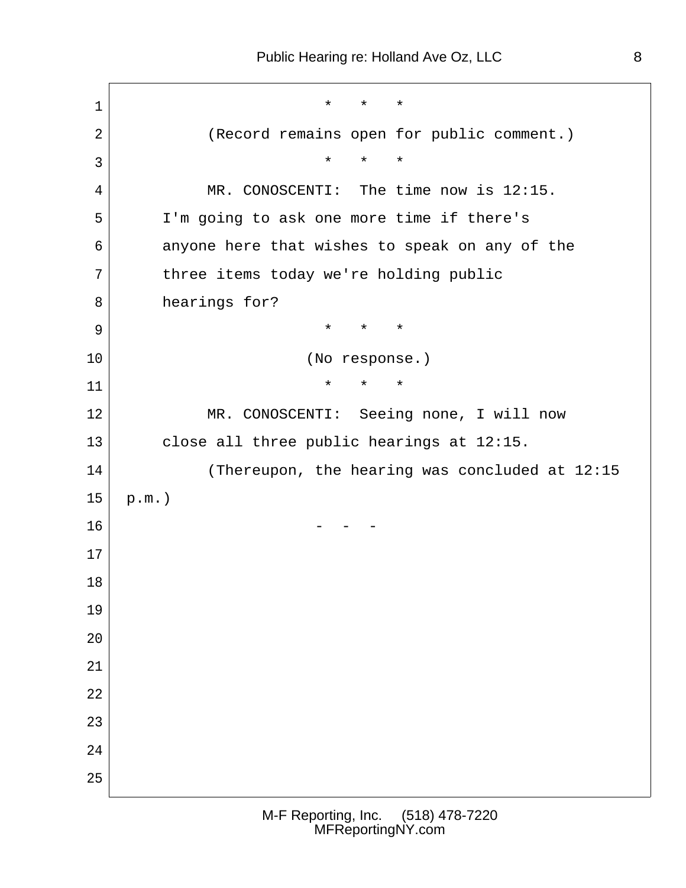$\begin{array}{ccc} 1 & \rightarrow & \star & \star & \star \end{array}$ 2 (Record remains open for public comment.)  $3$  4 MR. CONOSCENTI: The time now is 12:15. 5 I'm going to ask one more time if there's 6 anyone here that wishes to speak on any of the 7 three items today we're holding public 8 hearings for? 9 **\*** \* \* \* 10 | (No response.)  $\begin{array}{c|cccc}\n 11 & & & & \star & \star & \star & \star\n\end{array}$ 12 MR. CONOSCENTI: Seeing none, I will now 13 close all three public hearings at 12:15. 14 (Thereupon, the hearing was concluded at 12:15  $15$  p.m.)  $16$  - - -17 18 19 20 21 22 23 24 25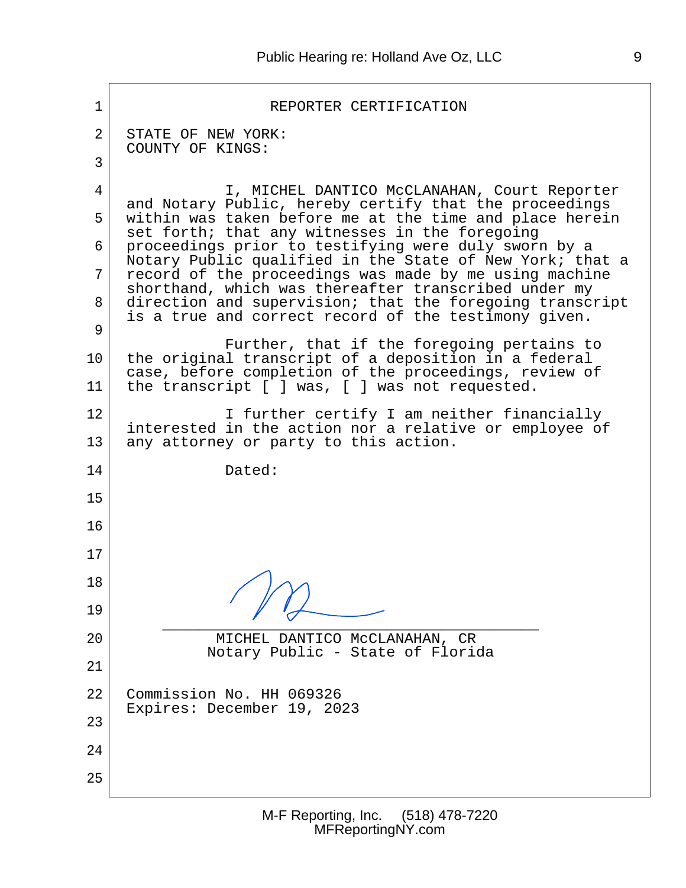$\mathbf{r}$ 

| 1              | REPORTER CERTIFICATION                                                                                                                                                                                                             |  |  |  |  |  |
|----------------|------------------------------------------------------------------------------------------------------------------------------------------------------------------------------------------------------------------------------------|--|--|--|--|--|
| $\overline{2}$ | STATE OF NEW YORK:<br>COUNTY OF KINGS:                                                                                                                                                                                             |  |  |  |  |  |
| 3              |                                                                                                                                                                                                                                    |  |  |  |  |  |
| 4              | I, MICHEL DANTICO McCLANAHAN, Court Reporter<br>and Notary Public, hereby certify that the proceedings                                                                                                                             |  |  |  |  |  |
| 5              | within was taken before me at the time and place herein<br>set forth; that any witnesses in the foregoing                                                                                                                          |  |  |  |  |  |
| 6              | proceedings prior to testifying were duly sworn by a<br>Notary Public qualified in the State of New York; that a                                                                                                                   |  |  |  |  |  |
| 7<br>8         | record of the proceedings was made by me using machine<br>shorthand, which was thereafter transcribed under my<br>direction and supervision; that the foregoing transcript<br>is a true and correct record of the testimony given. |  |  |  |  |  |
| 9              |                                                                                                                                                                                                                                    |  |  |  |  |  |
| 10             | Further, that if the foregoing pertains to<br>the original transcript of a deposition in a federal<br>case, before completion of the proceedings, review of                                                                        |  |  |  |  |  |
| 11             | the transcript [ ] was, [ ] was not requested.                                                                                                                                                                                     |  |  |  |  |  |
| 12             | I further certify I am neither financially<br>interested in the action nor a relative or employee of                                                                                                                               |  |  |  |  |  |
| 13             | any attorney or party to this action.                                                                                                                                                                                              |  |  |  |  |  |
| 14             | Dated:                                                                                                                                                                                                                             |  |  |  |  |  |
| 15             |                                                                                                                                                                                                                                    |  |  |  |  |  |
| 16             |                                                                                                                                                                                                                                    |  |  |  |  |  |
| 17             |                                                                                                                                                                                                                                    |  |  |  |  |  |
| 18             |                                                                                                                                                                                                                                    |  |  |  |  |  |
| 19             |                                                                                                                                                                                                                                    |  |  |  |  |  |
| 20             | MICHEL DANTICO MCCLANAHAN, CR<br>Notary Public - State of Florida                                                                                                                                                                  |  |  |  |  |  |
| 21             |                                                                                                                                                                                                                                    |  |  |  |  |  |
| 22             | Commission No. HH 069326                                                                                                                                                                                                           |  |  |  |  |  |
| 23             | Expires: December 19, 2023                                                                                                                                                                                                         |  |  |  |  |  |
| 24             |                                                                                                                                                                                                                                    |  |  |  |  |  |
| 25             |                                                                                                                                                                                                                                    |  |  |  |  |  |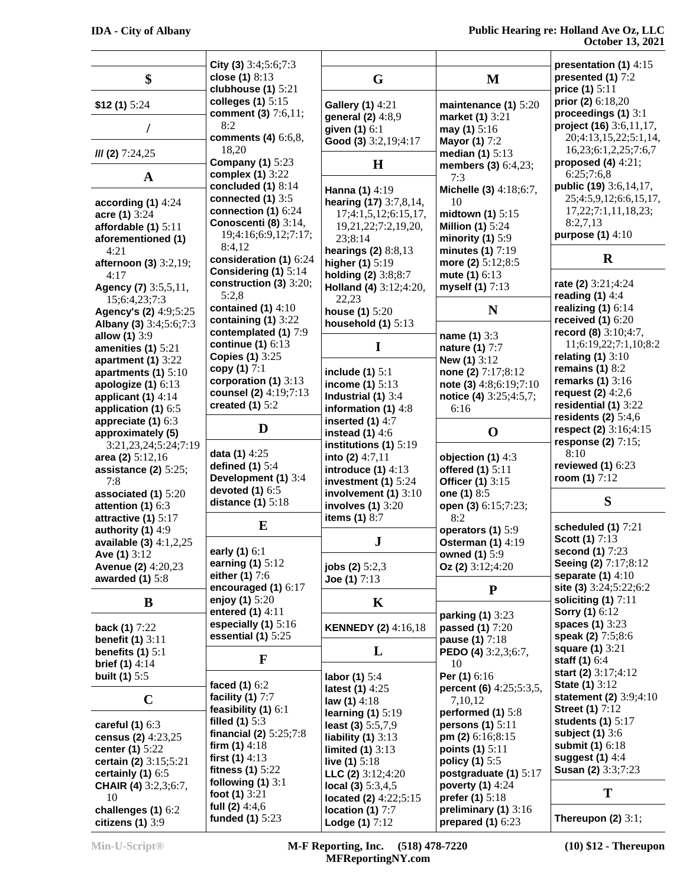|                                             | City (3) $3:4;5:6;7:3$                      |                                             |                                                    | presentation (1) 4:15                       |
|---------------------------------------------|---------------------------------------------|---------------------------------------------|----------------------------------------------------|---------------------------------------------|
| \$                                          | close (1) 8:13                              | G                                           | M                                                  | presented (1) 7:2                           |
|                                             | clubhouse $(1)$ 5:21                        |                                             |                                                    | price (1) 5:11                              |
| \$12(1) 5:24                                | colleges $(1)$ 5:15                         | <b>Gallery (1) 4:21</b>                     | maintenance (1) 5:20                               | prior (2) $6:18,20$                         |
|                                             | comment (3) 7:6,11;                         | general (2) 4:8,9                           | market (1) 3:21                                    | proceedings (1) 3:1                         |
|                                             | 8:2                                         | given (1) 6:1                               | may (1) $5:16$                                     | project (16) 3:6,11,17,                     |
|                                             | comments (4) 6:6,8,                         | Good (3) 3:2,19;4:17                        | <b>Mayor (1)</b> 7:2                               | 20;4:13,15,22;5:1,14,                       |
| $III$ (2) $7:24,25$                         | 18,20                                       |                                             | median $(1)$ 5:13                                  | 16, 23; 6: 1, 2, 25; 7: 6, 7                |
|                                             | <b>Company (1)</b> 5:23<br>complex (1) 3:22 | $\mathbf H$                                 | members (3) 6:4,23;                                | proposed (4) $4:21$ ;<br>6:25;7:6,8         |
| $\mathbf A$                                 | concluded $(1)$ 8:14                        |                                             | 7:3                                                | public (19) 3:6,14,17,                      |
|                                             | connected $(1)$ 3:5                         | Hanna (1) 4:19                              | Michelle (3) 4:18;6:7,                             | 25;4:5,9,12;6:6,15,17,                      |
| according $(1)$ 4:24                        | connection (1) $6:24$                       | hearing (17) 3:7,8,14,                      | 10<br>midtown (1) $5:15$                           | 17,22;7:1,11,18,23;                         |
| acre (1) 3:24<br>affordable $(1)$ 5:11      | Conoscenti (8) 3:14,                        | 17;4:1,5,12;6:15,17,<br>19,21,22;7:2,19,20, | <b>Million (1)</b> 5:24                            | 8:2,7,13                                    |
| aforementioned (1)                          | 19;4:16;6:9,12;7:17;                        | 23;8:14                                     | minority $(1)$ 5:9                                 | purpose $(1)$ 4:10                          |
| 4:21                                        | 8:4,12                                      | hearings (2) 8:8,13                         | minutes $(1)$ 7:19                                 |                                             |
| afternoon (3) 3:2,19;                       | consideration (1) 6:24                      | higher (1) 5:19                             | more (2) 5:12;8:5                                  | $\mathbf R$                                 |
| 4:17                                        | Considering (1) 5:14                        | holding (2) 3:8;8:7                         | mute (1) 6:13                                      |                                             |
| Agency (7) 3:5,5,11,                        | construction (3) $3:20$ ;                   | Holland (4) 3:12;4:20,                      | myself (1) 7:13                                    | rate (2) 3:21;4:24                          |
| 15;6:4,23;7:3                               | 5:2,8                                       | 22,23                                       |                                                    | reading $(1)$ 4:4                           |
| Agency's (2) 4:9;5:25                       | contained $(1)$ 4:10                        | house (1) 5:20                              | N                                                  | realizing $(1)$ 6:14                        |
| Albany (3) 3:4;5:6;7:3                      | containing (1) 3:22                         | household $(1)$ 5:13                        |                                                    | received $(1)$ 6:20                         |
| allow (1) 3:9                               | contemplated (1) 7:9                        |                                             | name (1) 3:3                                       | record (8) 3:10;4:7,                        |
| amenities $(1)$ 5:21                        | continue $(1)$ 6:13                         | I                                           | nature (1) 7:7                                     | 11;6:19,22;7:1,10;8:2                       |
| apartment $(1)$ 3:22                        | <b>Copies (1)</b> 3:25<br>copy (1) 7:1      |                                             | New (1) 3:12                                       | relating $(1)$ 3:10<br>remains $(1)$ 8:2    |
| apartments (1) $5:10$                       | corporation (1) 3:13                        | include $(1)$ 5:1                           | none (2) 7:17;8:12                                 | remarks (1) 3:16                            |
| apologize $(1)$ 6:13                        | counsel (2) 4:19;7:13                       | income $(1)$ 5:13                           | note (3) 4:8;6:19;7:10                             | request (2) $4:2,6$                         |
| applicant $(1)$ 4:14                        | created $(1)$ 5:2                           | Industrial $(1)$ 3:4                        | notice (4) 3:25;4:5,7;                             | residential (1) 3:22                        |
| application (1) 6:5<br>appreciate $(1)$ 6:3 |                                             | information $(1)$ 4:8<br>inserted $(1)$ 4:7 | 6:16                                               | residents $(2)$ 5:4,6                       |
| approximately (5)                           | D                                           | instead $(1)$ 4:6                           | $\mathbf 0$                                        | respect (2) 3:16;4:15                       |
| 3:21,23,24;5:24;7:19                        |                                             | institutions (1) $5:19$                     |                                                    | response (2) $7:15$ ;                       |
| area (2) 5:12,16                            | data (1) 4:25                               | into (2) $4:7,11$                           | objection (1) 4:3                                  | 8:10                                        |
| assistance $(2)$ 5:25;                      | defined $(1)$ 5:4                           | introduce $(1)$ 4:13                        | offered (1) 5:11                                   | reviewed $(1)$ 6:23                         |
| 7:8                                         | Development (1) 3:4                         | investment (1) $5:24$                       | <b>Officer (1)</b> 3:15                            | room (1) $7:12$                             |
| associated (1) 5:20                         | devoted (1) 6:5                             | involvement $(1)$ 3:10                      | one (1) 8:5                                        |                                             |
| attention $(1)$ 6:3                         | distance $(1)$ 5:18                         | involves $(1)$ 3:20                         | open (3) 6:15;7:23;                                | S                                           |
| attractive (1) 5:17                         |                                             | items (1) 8:7                               | 8:2                                                |                                             |
| authority $(1)$ 4:9                         | E                                           |                                             | operators (1) 5:9                                  | scheduled (1) 7:21                          |
| available (3) $4:1,2,25$                    |                                             | ${\bf J}$                                   | <b>Osterman (1) 4:19</b>                           | <b>Scott (1)</b> 7:13                       |
| Ave $(1)$ 3:12                              | early (1) 6:1<br>earning (1) 5:12           |                                             | owned (1) 5:9                                      | second (1) 7:23<br>Seeing (2) 7:17;8:12     |
| Avenue (2) 4:20,23                          | either (1) 7:6                              | jobs $(2)$ 5:2,3                            | Oz (2) $3:12;4:20$                                 | separate $(1)$ 4:10                         |
| awarded $(1)$ 5:8                           | encouraged $(1)$ 6:17                       | Joe (1) $7:13$                              | ${\bf P}$                                          | site (3) 3:24;5:22;6:2                      |
| B                                           | enjoy (1) 5:20                              | $\mathbf K$                                 |                                                    | soliciting $(1)$ 7:11                       |
|                                             | entered (1) 4:11                            |                                             | parking (1) 3:23                                   | <b>Sorry (1)</b> 6:12                       |
| back (1) 7:22                               | especially $(1)$ 5:16                       | <b>KENNEDY (2)</b> 4:16,18                  | passed (1) 7:20                                    | spaces (1) 3:23                             |
| benefit $(1)$ 3:11                          | essential $(1)$ 5:25                        |                                             | pause (1) 7:18                                     | speak (2) 7:5;8:6                           |
| benefits $(1)$ 5:1                          |                                             | L                                           | PEDO (4) 3:2,3;6:7,                                | <b>square (1)</b> 3:21                      |
| <b>brief (1)</b> $4:14$                     | F                                           |                                             | 10                                                 | staff $(1)$ 6:4                             |
| <b>built (1)</b> 5:5                        |                                             | labor (1) 5:4                               | Per (1) 6:16                                       | start (2) 3:17;4:12                         |
|                                             | faced (1) 6:2                               | latest (1) 4:25                             | percent (6) 4:25;5:3,5,                            | <b>State (1)</b> 3:12                       |
| $\mathbf C$                                 | facility $(1)$ 7:7                          | law $(1)$ 4:18                              | 7,10,12                                            | statement (2) 3:9;4:10                      |
|                                             | feasibility $(1)$ 6:1                       | learning $(1)$ 5:19                         | performed (1) 5:8                                  | <b>Street (1)</b> 7:12                      |
| careful $(1)$ 6:3                           | filled $(1)$ 5:3                            | least (3) 5:5,7,9                           | persons $(1)$ 5:11                                 | students $(1)$ 5:17                         |
| census (2) 4:23,25                          | financial (2) 5:25;7:8                      | liability $(1)$ 3:13                        | pm (2) $6:16;8:15$                                 | subject $(1)$ 3:6                           |
| center (1) 5:22                             | firm $(1)$ 4:18<br>first $(1)$ 4:13         | limited $(1)$ 3:13                          | points (1) 5:11                                    | <b>submit (1)</b> 6:18<br>suggest $(1)$ 4:4 |
| certain (2) 3:15;5:21                       | fitness $(1)$ 5:22                          | live $(1)$ 5:18                             | policy (1) 5:5                                     | <b>Susan (2)</b> 3:3;7:23                   |
| certainly $(1)$ 6:5                         | following $(1)$ 3:1                         | LLC (2) $3:12;4:20$                         | postgraduate (1) 5:17                              |                                             |
| <b>CHAIR (4)</b> 3:2,3;6:7,                 | foot $(1)$ 3:21                             | local (3) $5:3,4,5$                         | poverty $(1)$ 4:24                                 | T                                           |
| 10<br>challenges (1) 6:2                    | full (2) $4:4,6$                            | located (2) 4:22;5:15<br>location (1) $7:7$ | <b>prefer (1)</b> $5:18$<br>preliminary $(1)$ 3:16 |                                             |
|                                             |                                             |                                             |                                                    |                                             |
| citizens $(1)$ 3:9                          | funded (1) 5:23                             | Lodge (1) 7:12                              | prepared $(1)$ 6:23                                | Thereupon $(2)$ 3:1;                        |

**Min-U-Script® M-F Reporting, Inc. (518) 478-7220 MFReportingNY.com**